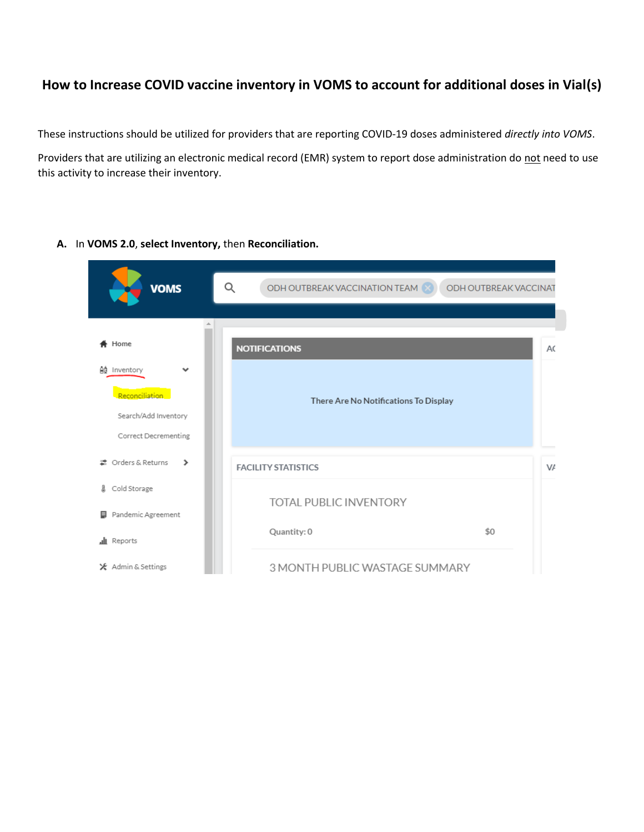## **How to Increase COVID vaccine inventory in VOMS to account for additional doses in Vial(s)**

These instructions should be utilized for providers that are reporting COVID-19 doses administered *directly into VOMS*.

Providers that are utilizing an electronic medical record (EMR) system to report dose administration do not need to use this activity to increase their inventory.

| <b>VOMS</b>                                                                    | Q<br>ODH OUTBREAK VACCINATION TEAM<br>ODH OUTBREAK VACCINAT |    |  |  |  |  |  |  |
|--------------------------------------------------------------------------------|-------------------------------------------------------------|----|--|--|--|--|--|--|
|                                                                                |                                                             |    |  |  |  |  |  |  |
| Home                                                                           | <b>NOTIFICATIONS</b>                                        | AC |  |  |  |  |  |  |
| Ad Inventory<br>Reconciliation<br>Search/Add Inventory<br>Correct Decrementing | There Are No Notifications To Display                       |    |  |  |  |  |  |  |
| = Orders & Returns<br>⋟                                                        | <b>FACILITY STATISTICS</b>                                  | VA |  |  |  |  |  |  |
| Cold Storage<br>Д                                                              | <b>TOTAL PUBLIC INVENTORY</b>                               |    |  |  |  |  |  |  |
| Pandemic Agreement<br>目<br>all Reports                                         | \$0<br>Quantity: 0                                          |    |  |  |  |  |  |  |
| <del>X</del> Admin & Settings                                                  | 3 MONTH PUBLIC WASTAGE SUMMARY                              |    |  |  |  |  |  |  |

**A.** In **VOMS 2.0**, **select Inventory,** then **Reconciliation.**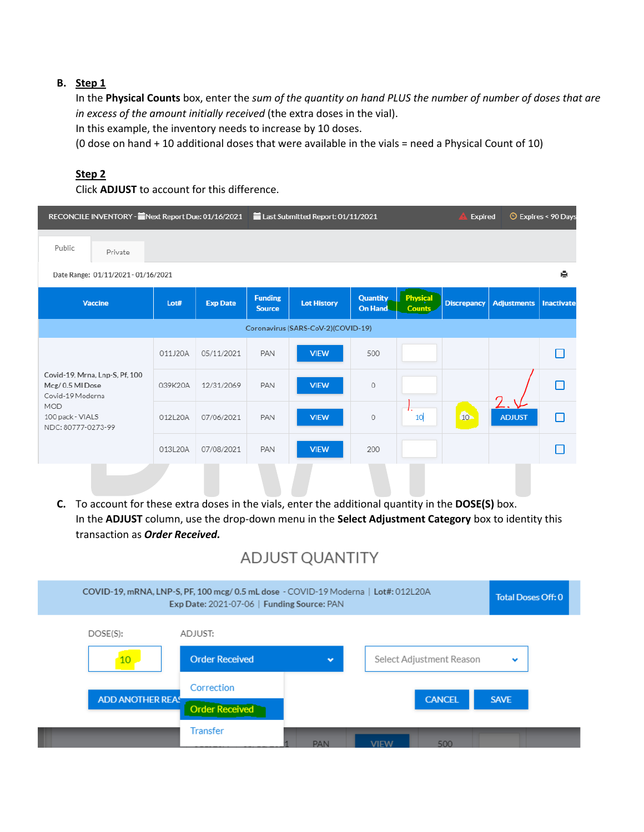## **B. Step 1**

In the **Physical Counts** box, enter the *sum of the quantity on hand PLUS the number of number of doses that are in excess of the amount initially received* (the extra doses in the vial).

In this example, the inventory needs to increase by 10 doses.

(0 dose on hand + 10 additional doses that were available in the vials = need a Physical Count of 10)

## **Step 2**

Click **ADJUST** to account for this difference.

|                                                                                                                               | RECONCILE INVENTORY - Next Report Due: 01/16/2021 |                 |                                 | Last Submitted Report: 01/11/2021 | <b>Expired</b>                    |                           | <b>Expires &lt; 90 Days</b> |                    |            |
|-------------------------------------------------------------------------------------------------------------------------------|---------------------------------------------------|-----------------|---------------------------------|-----------------------------------|-----------------------------------|---------------------------|-----------------------------|--------------------|------------|
| Public<br>Private                                                                                                             |                                                   |                 |                                 |                                   |                                   |                           |                             |                    |            |
| 頁<br>Date Range: 01/11/2021 - 01/16/2021                                                                                      |                                                   |                 |                                 |                                   |                                   |                           |                             |                    |            |
| <b>Vaccine</b>                                                                                                                | Lot#                                              | <b>Exp Date</b> | <b>Funding</b><br><b>Source</b> | <b>Lot History</b>                | <b>Quantity</b><br><b>On Hand</b> | <b>Physical</b><br>Counts | <b>Discrepancy</b>          | <b>Adjustments</b> | Inactivate |
| Coronavirus (SARS-CoV-2)(COVID-19)                                                                                            |                                                   |                 |                                 |                                   |                                   |                           |                             |                    |            |
| Covid-19, Mrna, Lnp-S, Pf, 100<br>Mcg/0.5 MI Dose<br>Covid-19 Moderna<br><b>MOD</b><br>100 pack - VIALS<br>NDC: 80777-0273-99 | 011J20A                                           | 05/11/2021      | PAN                             | <b>VIEW</b>                       | 500                               |                           |                             |                    | П          |
|                                                                                                                               | 039K20A                                           | 12/31/2069      | PAN                             | <b>VIEW</b>                       | $\circ$                           |                           |                             |                    | П          |
|                                                                                                                               | 012L20A                                           | 07/06/2021      | PAN                             | <b>VIEW</b>                       | $\circ$                           | 10                        | 10                          | <b>ADJUST</b>      | П          |
|                                                                                                                               | 013L20A                                           | 07/08/2021      | PAN                             | <b>VIEW</b>                       | 200                               |                           |                             |                    | П          |
|                                                                                                                               |                                                   |                 |                                 |                                   |                                   |                           |                             |                    |            |

**C.** To account for these extra doses in the vials, enter the additional quantity in the **DOSE(S)** box. In the **ADJUST** column, use the drop-down menu in the **Select Adjustment Category** box to identity this transaction as *Order Received.*

## **ADJUST QUANTITY**

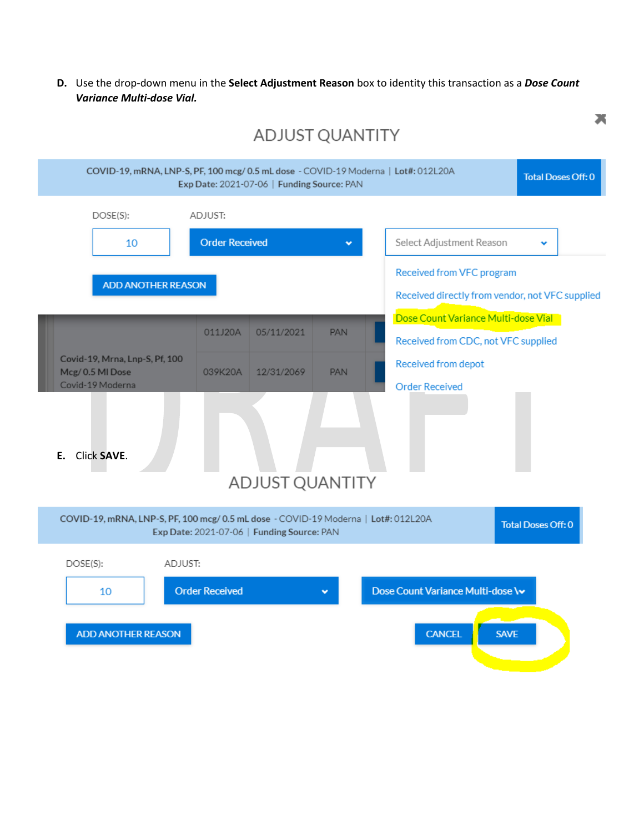**D.** Use the drop-down menu in the **Select Adjustment Reason** box to identity this transaction as a *Dose Count Variance Multi-dose Vial.*